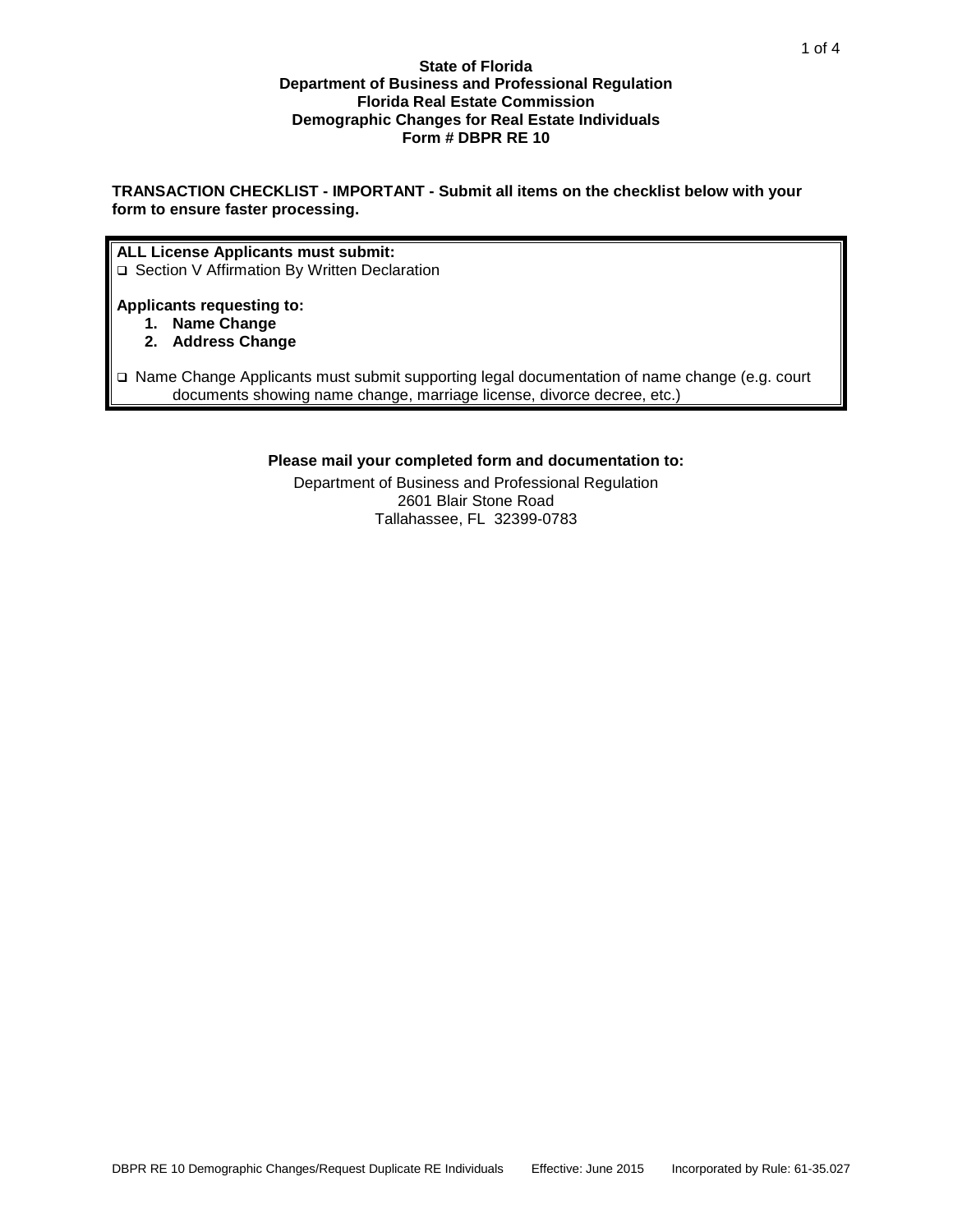#### **State of Florida Department of Business and Professional Regulation Florida Real Estate Commission Demographic Changes for Real Estate Individuals Form # DBPR RE 10**

**TRANSACTION CHECKLIST - IMPORTANT - Submit all items on the checklist below with your form to ensure faster processing.**

#### **ALL License Applicants must submit:**

□ Section V Affirmation By Written Declaration

#### **Applicants requesting to:**

- **1. Name Change**
- **2. Address Change**
- Name Change Applicants must submit supporting legal documentation of name change (e.g. court documents showing name change, marriage license, divorce decree, etc.)

#### **Please mail your completed form and documentation to:**

Department of Business and Professional Regulation 2601 Blair Stone Road Tallahassee, FL 32399-0783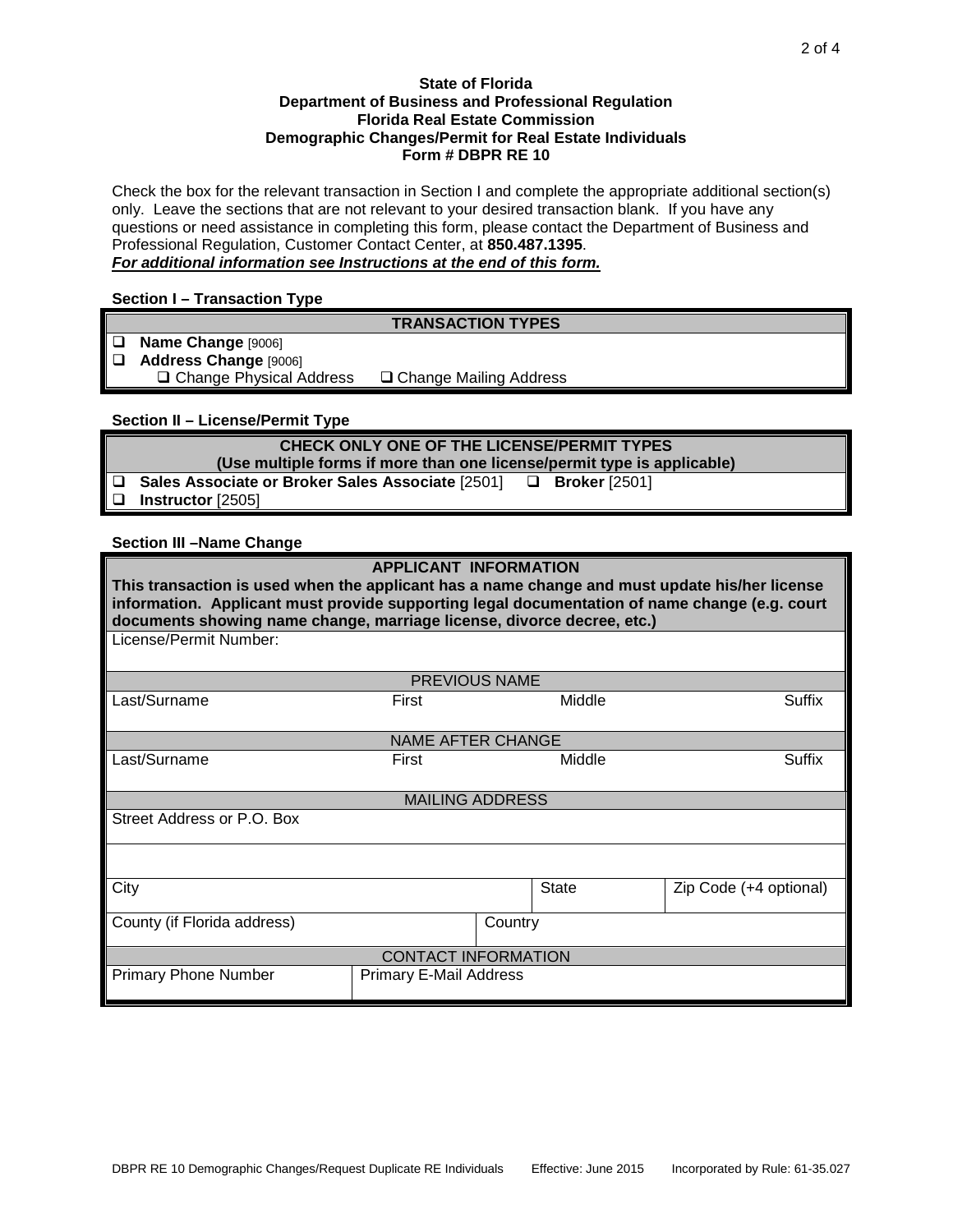#### **State of Florida Department of Business and Professional Regulation Florida Real Estate Commission Demographic Changes/Permit for Real Estate Individuals Form # DBPR RE 10**

Check the box for the relevant transaction in Section I and complete the appropriate additional section(s) only. Leave the sections that are not relevant to your desired transaction blank. If you have any questions or need assistance in completing this form, please contact the Department of Business and Professional Regulation, Customer Contact Center, at **850.487.1395**. *For additional information see Instructions at the end of this form.*

#### **Section I – Transaction Type**

|        | <b>TRANSACTION TYPES</b>       |                          |  |  |  |  |  |  |
|--------|--------------------------------|--------------------------|--|--|--|--|--|--|
| $\Box$ | Name Change [9006]             |                          |  |  |  |  |  |  |
|        | Address Change [9006]          |                          |  |  |  |  |  |  |
|        | $\Box$ Change Physical Address | □ Change Mailing Address |  |  |  |  |  |  |
|        |                                |                          |  |  |  |  |  |  |

# **Section II – License/Permit Type**

| CHECK ONLY ONE OF THE LICENSE/PERMIT TYPES                                   |  |  |  |  |  |
|------------------------------------------------------------------------------|--|--|--|--|--|
| (Use multiple forms if more than one license/permit type is applicable)      |  |  |  |  |  |
| $\Box$ Sales Associate or Broker Sales Associate [2501] $\Box$ Broker [2501] |  |  |  |  |  |
| $\Box$ Instructor [2505]                                                     |  |  |  |  |  |

#### **Section III –Name Change**

| <b>APPLICANT INFORMATION</b>                                                                                                                                                                                                                                             |       |  |              |                        |  |  |  |
|--------------------------------------------------------------------------------------------------------------------------------------------------------------------------------------------------------------------------------------------------------------------------|-------|--|--------------|------------------------|--|--|--|
| This transaction is used when the applicant has a name change and must update his/her license<br>information. Applicant must provide supporting legal documentation of name change (e.g. court<br>documents showing name change, marriage license, divorce decree, etc.) |       |  |              |                        |  |  |  |
| License/Permit Number:                                                                                                                                                                                                                                                   |       |  |              |                        |  |  |  |
| <b>PREVIOUS NAME</b>                                                                                                                                                                                                                                                     |       |  |              |                        |  |  |  |
| Last/Surname                                                                                                                                                                                                                                                             | First |  | Middle       | Suffix                 |  |  |  |
| <b>NAME AFTER CHANGE</b>                                                                                                                                                                                                                                                 |       |  |              |                        |  |  |  |
| Last/Surname                                                                                                                                                                                                                                                             | First |  | Middle       | Suffix                 |  |  |  |
| <b>MAILING ADDRESS</b>                                                                                                                                                                                                                                                   |       |  |              |                        |  |  |  |
| Street Address or P.O. Box                                                                                                                                                                                                                                               |       |  |              |                        |  |  |  |
|                                                                                                                                                                                                                                                                          |       |  |              |                        |  |  |  |
| City                                                                                                                                                                                                                                                                     |       |  | <b>State</b> | Zip Code (+4 optional) |  |  |  |
| County (if Florida address)                                                                                                                                                                                                                                              |       |  | Country      |                        |  |  |  |
| <b>CONTACT INFORMATION</b>                                                                                                                                                                                                                                               |       |  |              |                        |  |  |  |
| <b>Primary Phone Number</b><br><b>Primary E-Mail Address</b>                                                                                                                                                                                                             |       |  |              |                        |  |  |  |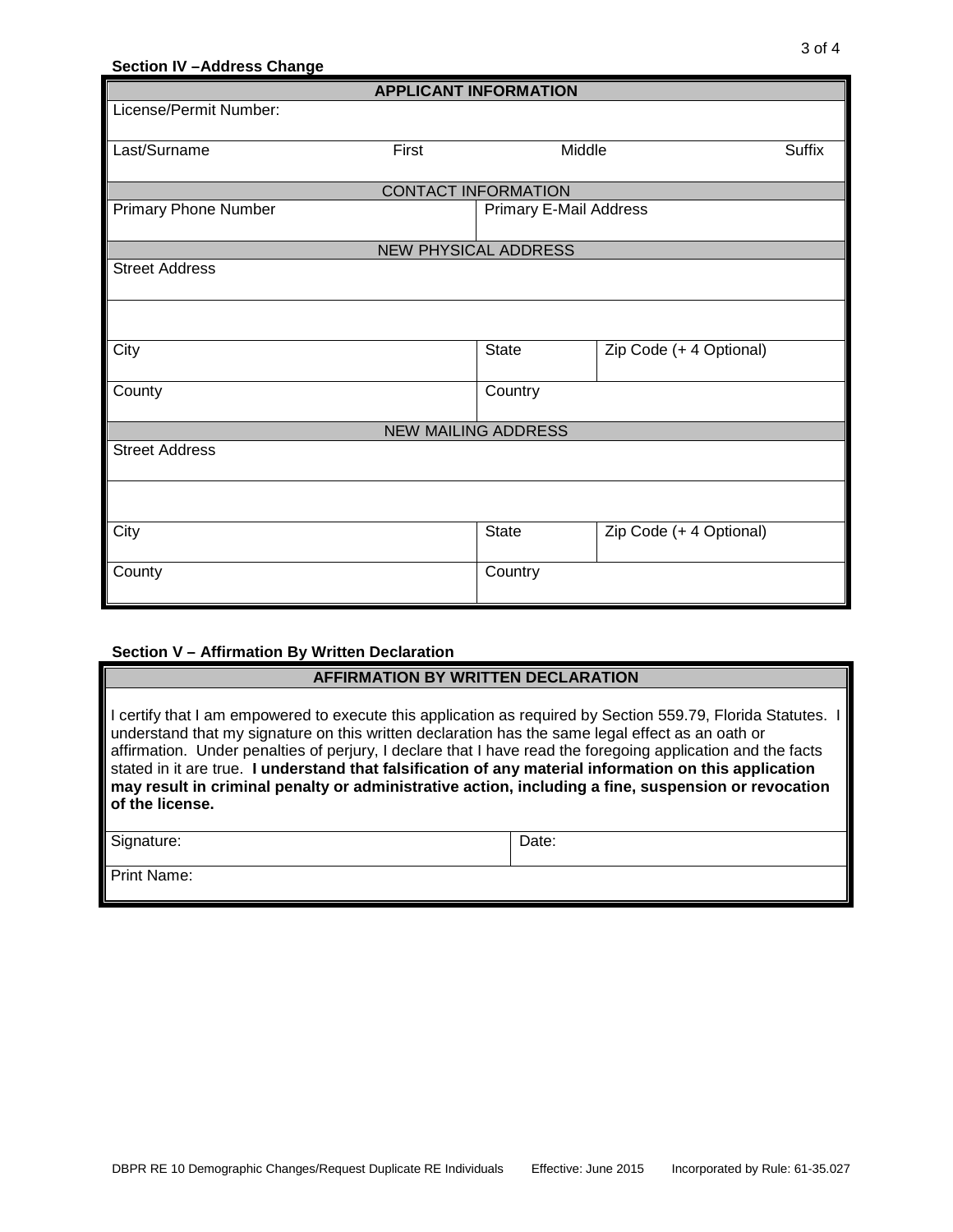# **Section IV –Address Change APPLICANT INFORMATION** License/Permit Number:

| Last/Surname<br>First       |  | Middle                        |                         | <b>Suffix</b> |  |  |  |
|-----------------------------|--|-------------------------------|-------------------------|---------------|--|--|--|
|                             |  |                               |                         |               |  |  |  |
| <b>CONTACT INFORMATION</b>  |  |                               |                         |               |  |  |  |
| <b>Primary Phone Number</b> |  | <b>Primary E-Mail Address</b> |                         |               |  |  |  |
| <b>NEW PHYSICAL ADDRESS</b> |  |                               |                         |               |  |  |  |
| <b>Street Address</b>       |  |                               |                         |               |  |  |  |
|                             |  |                               |                         |               |  |  |  |
| City                        |  | <b>State</b>                  | Zip Code (+ 4 Optional) |               |  |  |  |
| County                      |  | Country                       |                         |               |  |  |  |
| <b>NEW MAILING ADDRESS</b>  |  |                               |                         |               |  |  |  |
| <b>Street Address</b>       |  |                               |                         |               |  |  |  |
|                             |  |                               |                         |               |  |  |  |
| City                        |  | State                         | Zip Code (+ 4 Optional) |               |  |  |  |
| County                      |  | Country                       |                         |               |  |  |  |

#### **Section V – Affirmation By Written Declaration**

# **AFFIRMATION BY WRITTEN DECLARATION**

I certify that I am empowered to execute this application as required by Section 559.79, Florida Statutes. I understand that my signature on this written declaration has the same legal effect as an oath or affirmation. Under penalties of perjury, I declare that I have read the foregoing application and the facts stated in it are true. **I understand that falsification of any material information on this application may result in criminal penalty or administrative action, including a fine, suspension or revocation of the license.**

| Signature:  | Date: |
|-------------|-------|
| Print Name: |       |